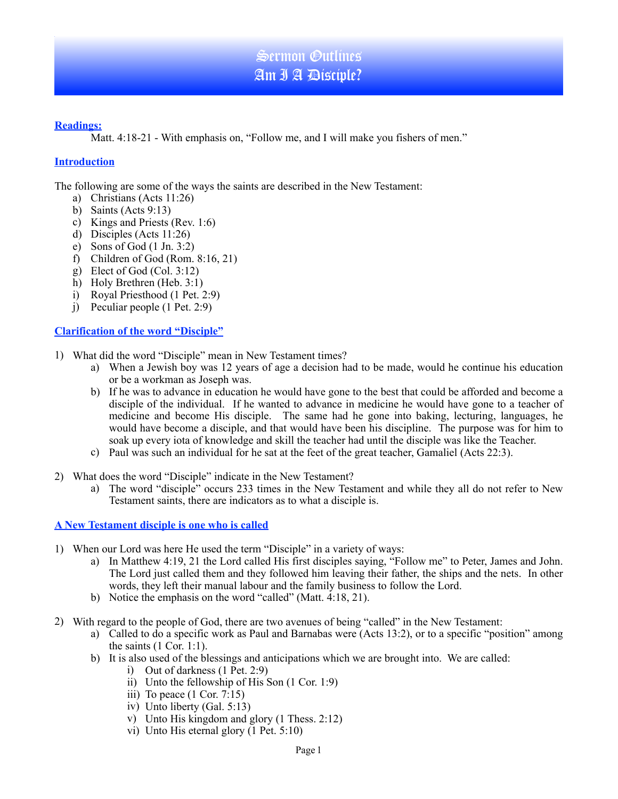## **Readings:**

Matt. 4:18-21 - With emphasis on, "Follow me, and I will make you fishers of men."

## **Introduction**

The following are some of the ways the saints are described in the New Testament:

- a) Christians (Acts 11:26)
- b) Saints (Acts 9:13)
- c) Kings and Priests (Rev. 1:6)
- d) Disciples (Acts 11:26)
- e) Sons of God (1 Jn. 3:2)
- f) Children of God (Rom. 8:16, 21)
- g) Elect of God (Col. 3:12)
- h) Holy Brethren (Heb. 3:1)
- i) Royal Priesthood (1 Pet. 2:9)
- j) Peculiar people (1 Pet. 2:9)

# **Clarification of the word "Disciple"**

- 1) What did the word "Disciple" mean in New Testament times?
	- a) When a Jewish boy was 12 years of age a decision had to be made, would he continue his education or be a workman as Joseph was.
	- b) If he was to advance in education he would have gone to the best that could be afforded and become a disciple of the individual. If he wanted to advance in medicine he would have gone to a teacher of medicine and become His disciple. The same had he gone into baking, lecturing, languages, he would have become a disciple, and that would have been his discipline. The purpose was for him to soak up every iota of knowledge and skill the teacher had until the disciple was like the Teacher.
	- c) Paul was such an individual for he sat at the feet of the great teacher, Gamaliel (Acts 22:3).
- 2) What does the word "Disciple" indicate in the New Testament?
	- a) The word "disciple" occurs 233 times in the New Testament and while they all do not refer to New Testament saints, there are indicators as to what a disciple is.

**A New Testament disciple is one who is called**

- 1) When our Lord was here He used the term "Disciple" in a variety of ways:
	- a) In Matthew 4:19, 21 the Lord called His first disciples saying, "Follow me" to Peter, James and John. The Lord just called them and they followed him leaving their father, the ships and the nets. In other words, they left their manual labour and the family business to follow the Lord.
	- b) Notice the emphasis on the word "called" (Matt. 4:18, 21).
- 2) With regard to the people of God, there are two avenues of being "called" in the New Testament:
	- a) Called to do a specific work as Paul and Barnabas were (Acts 13:2), or to a specific "position" among the saints  $(1$  Cor. 1:1).
	- b) It is also used of the blessings and anticipations which we are brought into. We are called:
		- i) Out of darkness (1 Pet. 2:9)
		- ii) Unto the fellowship of His Son (1 Cor. 1:9)
		- iii) To peace  $(1 \text{ Cor. } 7:15)$
		- iv) Unto liberty (Gal. 5:13)
		- v) Unto His kingdom and glory (1 Thess. 2:12)
		- vi) Unto His eternal glory (1 Pet. 5:10)